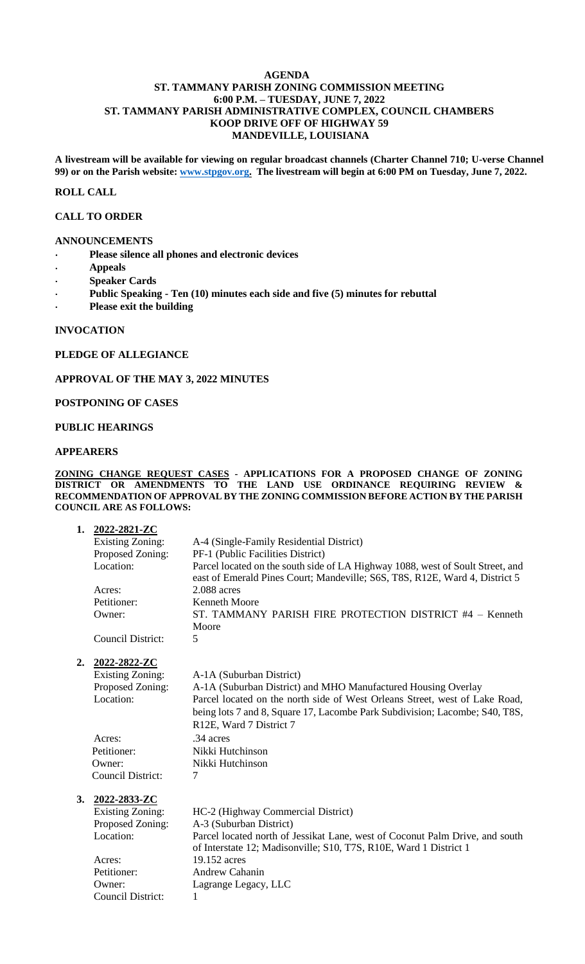### **AGENDA ST. TAMMANY PARISH ZONING COMMISSION MEETING 6:00 P.M. – TUESDAY, JUNE 7, 2022 ST. TAMMANY PARISH ADMINISTRATIVE COMPLEX, COUNCIL CHAMBERS KOOP DRIVE OFF OF HIGHWAY 59 MANDEVILLE, LOUISIANA**

**A livestream will be available for viewing on regular broadcast channels (Charter Channel 710; U-verse Channel 99) or on the Parish website: [www.stpgov.org.](http://www.stpgov.org/) The livestream will begin at 6:00 PM on Tuesday, June 7, 2022.**

## **ROLL CALL**

### **CALL TO ORDER**

#### **ANNOUNCEMENTS**

- **Please silence all phones and electronic devices**
- **Appeals**
- **Speaker Cards**
- **Public Speaking - Ten (10) minutes each side and five (5) minutes for rebuttal**
- **Please exit the building**

### **INVOCATION**

## **PLEDGE OF ALLEGIANCE**

## **APPROVAL OF THE MAY 3, 2022 MINUTES**

### **POSTPONING OF CASES**

### **PUBLIC HEARINGS**

### **APPEARERS**

#### **ZONING CHANGE REQUEST CASES - APPLICATIONS FOR A PROPOSED CHANGE OF ZONING DISTRICT OR AMENDMENTS TO THE LAND USE ORDINANCE REQUIRING REVIEW & RECOMMENDATION OF APPROVAL BY THE ZONING COMMISSION BEFORE ACTION BY THE PARISH COUNCIL ARE AS FOLLOWS:**

| 1. | 2022-2821-ZC             |                                                                                |
|----|--------------------------|--------------------------------------------------------------------------------|
|    | <b>Existing Zoning:</b>  | A-4 (Single-Family Residential District)                                       |
|    | Proposed Zoning:         | PF-1 (Public Facilities District)                                              |
|    | Location:                | Parcel located on the south side of LA Highway 1088, west of Soult Street, and |
|    |                          | east of Emerald Pines Court; Mandeville; S6S, T8S, R12E, Ward 4, District 5    |
|    | Acres:                   | $2.088$ acres                                                                  |
|    | Petitioner:              | <b>Kenneth Moore</b>                                                           |
|    | Owner:                   | ST. TAMMANY PARISH FIRE PROTECTION DISTRICT #4 - Kenneth                       |
|    |                          | Moore                                                                          |
|    | <b>Council District:</b> | 5                                                                              |
| 2. | 2022-2822-ZC             |                                                                                |
|    | <b>Existing Zoning:</b>  | A-1A (Suburban District)                                                       |
|    | Proposed Zoning:         | A-1A (Suburban District) and MHO Manufactured Housing Overlay                  |
|    | Location:                | Parcel located on the north side of West Orleans Street, west of Lake Road,    |
|    |                          | being lots 7 and 8, Square 17, Lacombe Park Subdivision; Lacombe; S40, T8S,    |
|    |                          | R12E, Ward 7 District 7                                                        |
|    | Acres:                   | .34 acres                                                                      |
|    | Petitioner:              | Nikki Hutchinson                                                               |
|    | Owner:                   | Nikki Hutchinson                                                               |
|    | Council District:        | 7                                                                              |
| 3. | 2022-2833-ZC             |                                                                                |
|    | <b>Existing Zoning:</b>  | HC-2 (Highway Commercial District)                                             |
|    | Proposed Zoning:         | A-3 (Suburban District)                                                        |
|    | Location:                | Parcel located north of Jessikat Lane, west of Coconut Palm Drive, and south   |
|    |                          | of Interstate 12; Madisonville; S10, T7S, R10E, Ward 1 District 1              |
|    | Acres:                   | 19.152 acres                                                                   |
|    | Petitioner:              | <b>Andrew Cahanin</b>                                                          |
|    | Owner:                   | Lagrange Legacy, LLC                                                           |
|    | Council District:        | 1                                                                              |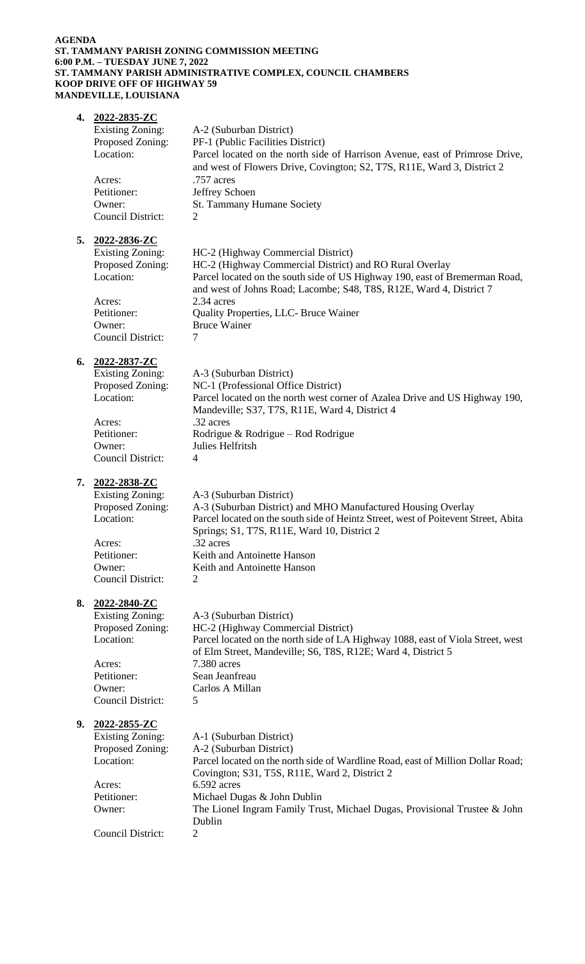### **AGENDA ST. TAMMANY PARISH ZONING COMMISSION MEETING 6:00 P.M. – TUESDAY JUNE 7, 2022 ST. TAMMANY PARISH ADMINISTRATIVE COMPLEX, COUNCIL CHAMBERS KOOP DRIVE OFF OF HIGHWAY 59 MANDEVILLE, LOUISIANA**

| 4. | <u>2022-2835-ZC</u><br><b>Existing Zoning:</b><br>Proposed Zoning:<br>Location:                                                  | A-2 (Suburban District)<br>PF-1 (Public Facilities District)<br>Parcel located on the north side of Harrison Avenue, east of Primrose Drive,<br>and west of Flowers Drive, Covington; S2, T7S, R11E, Ward 3, District 2                                                                                                                |
|----|----------------------------------------------------------------------------------------------------------------------------------|----------------------------------------------------------------------------------------------------------------------------------------------------------------------------------------------------------------------------------------------------------------------------------------------------------------------------------------|
|    | Acres:<br>Petitioner:<br>Owner:                                                                                                  | .757 acres<br>Jeffrey Schoen<br>St. Tammany Humane Society                                                                                                                                                                                                                                                                             |
|    | <b>Council District:</b>                                                                                                         | 2                                                                                                                                                                                                                                                                                                                                      |
| 5. | 2022-2836-ZC<br><b>Existing Zoning:</b><br>Proposed Zoning:<br>Location:<br>Acres:<br>Petitioner:<br>Owner:<br>Council District: | HC-2 (Highway Commercial District)<br>HC-2 (Highway Commercial District) and RO Rural Overlay<br>Parcel located on the south side of US Highway 190, east of Bremerman Road,<br>and west of Johns Road; Lacombe; S48, T8S, R12E, Ward 4, District 7<br>2.34 acres<br>Quality Properties, LLC- Bruce Wainer<br><b>Bruce Wainer</b><br>7 |
|    |                                                                                                                                  |                                                                                                                                                                                                                                                                                                                                        |
| 6. | 2022-2837-ZC<br><b>Existing Zoning:</b><br>Proposed Zoning:<br>Location:                                                         | A-3 (Suburban District)<br>NC-1 (Professional Office District)<br>Parcel located on the north west corner of Azalea Drive and US Highway 190,<br>Mandeville; S37, T7S, R11E, Ward 4, District 4                                                                                                                                        |
|    | Acres:<br>Petitioner:<br>Owner:<br><b>Council District:</b>                                                                      | .32 acres<br>Rodrigue & Rodrigue – Rod Rodrigue<br>Julies Helfritsh<br>$\overline{4}$                                                                                                                                                                                                                                                  |
|    |                                                                                                                                  |                                                                                                                                                                                                                                                                                                                                        |
| 7. | 2022-2838-ZC<br><b>Existing Zoning:</b><br>Proposed Zoning:<br>Location:                                                         | A-3 (Suburban District)<br>A-3 (Suburban District) and MHO Manufactured Housing Overlay<br>Parcel located on the south side of Heintz Street, west of Poitevent Street, Abita<br>Springs; S1, T7S, R11E, Ward 10, District 2                                                                                                           |
|    | Acres:<br>Petitioner:<br>Owner:                                                                                                  | .32 acres<br>Keith and Antoinette Hanson<br>Keith and Antoinette Hanson                                                                                                                                                                                                                                                                |
|    | <b>Council District:</b>                                                                                                         | 2                                                                                                                                                                                                                                                                                                                                      |
| 8. | 2022-2840-ZC<br><b>Existing Zoning:</b><br>Proposed Zoning:<br>Location:<br>Acres:<br>Petitioner:<br>Owner:<br>Council District: | A-3 (Suburban District)<br>HC-2 (Highway Commercial District)<br>Parcel located on the north side of LA Highway 1088, east of Viola Street, west<br>of Elm Street, Mandeville; S6, T8S, R12E; Ward 4, District 5<br>7.380 acres<br>Sean Jeanfreau<br>Carlos A Millan<br>5                                                              |
| 9. | 2022-2855-ZC<br><b>Existing Zoning:</b><br>Proposed Zoning:<br>Location:<br>Acres:<br>Petitioner:                                | A-1 (Suburban District)<br>A-2 (Suburban District)<br>Parcel located on the north side of Wardline Road, east of Million Dollar Road;<br>Covington; S31, T5S, R11E, Ward 2, District 2<br>6.592 acres<br>Michael Dugas & John Dublin                                                                                                   |
|    | Owner:                                                                                                                           | The Lionel Ingram Family Trust, Michael Dugas, Provisional Trustee & John<br>Dublin                                                                                                                                                                                                                                                    |
|    | <b>Council District:</b>                                                                                                         | $\overline{2}$                                                                                                                                                                                                                                                                                                                         |